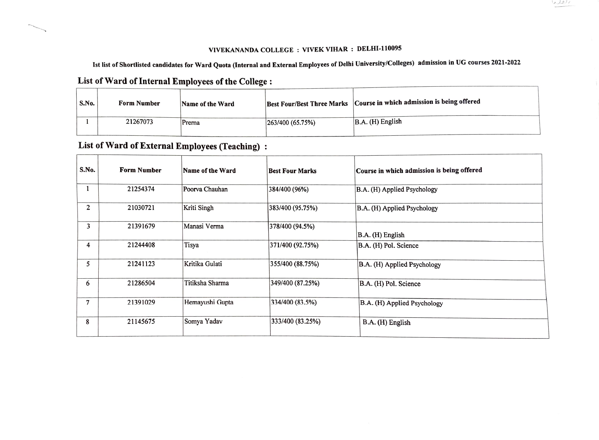#### VIVEKANANDA COLLEGE : VIVEK VIHAR: DELHI-110095

لاهليا

Ist list of Shortlisted candidates for Ward Quota (internal and External Employees of Delhi University/Colleges) admission in UG courses 2021-2022

## List of Ward of Internal Employees of the College

| S.No. | <b>Form Number</b> | Name of the Ward |                 | Best Four/Best Three Marks Course in which admission is being offered |
|-------|--------------------|------------------|-----------------|-----------------------------------------------------------------------|
|       | 21267073           | Prerna           | 263/400(65.75%) | $B.A.$ (H) English                                                    |

## List of Ward of External Employees (Teaching)

| S.No. | <b>Form Number</b> | Name of the Ward | <b>Best Four Marks</b> | Course in which admission is being offered |
|-------|--------------------|------------------|------------------------|--------------------------------------------|
| 1     | 21254374           | Poorva Chauhan   | 384/400 (96%)          | B.A. (H) Applied Psychology                |
| 2     | 21030721           | Kriti Singh      | 383/400 (95.75%)       | B.A. (H) Applied Psychology                |
| 3     | 21391679           | Manasi Verma     | 378/400 (94.5%)        | B.A. (H) English                           |
| 4     | 21244408           | Tisya            | 371/400 (92.75%)       | B.A. (H) Pol. Science                      |
| 5     | 21241123           | Kritika Gulati   | 355/400 (88.75%)       | B.A. (H) Applied Psychology                |
| 6     | 21286504           | Titiksha Sharma  | 349/400 (87.25%)       | B.A. (H) Pol. Science                      |
| 7     | 21391029           | Hemayushi Gupta  | 334/400 (83.5%)        | B.A. (H) Applied Psychology                |
| 8     | 21145675           | Somya Yadav      | 333/400 (83.25%)       | B.A. (H) English                           |